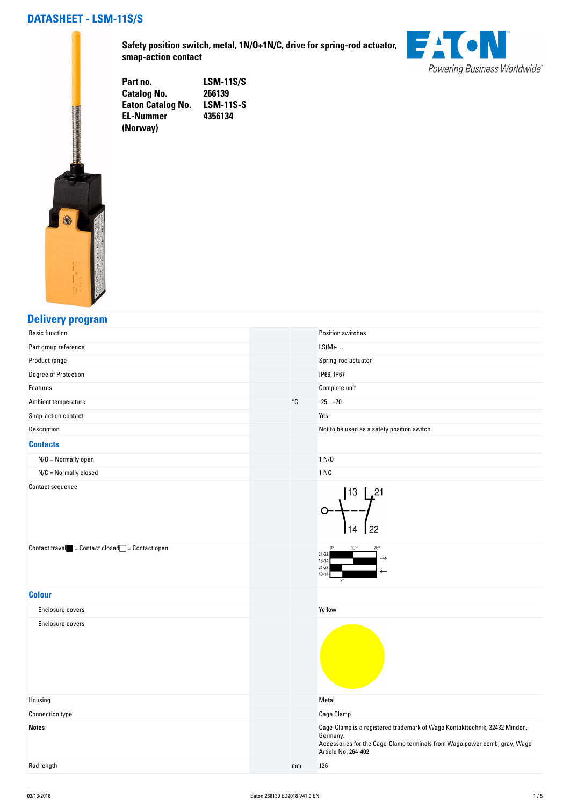### **DATASHEET - LSM-11S/S**



**Safety position switch, metal, 1N/O+1N/C, drive for spring-rod actuator, smap-action contact**



**Part no. LSM-11S/S Catalog No. 266139 Eaton Catalog No. EL-Nummer (Norway) 4356134**

#### **Delivery program**

| <b>Basic function</b>                                                             |              | Position switches                            |                                                                                                                                                         |
|-----------------------------------------------------------------------------------|--------------|----------------------------------------------|---------------------------------------------------------------------------------------------------------------------------------------------------------|
| Part group reference                                                              |              | $LS(M)-$                                     |                                                                                                                                                         |
| Product range                                                                     |              | Spring-rod actuator                          |                                                                                                                                                         |
| Degree of Protection                                                              |              | IP66, IP67                                   |                                                                                                                                                         |
| Features                                                                          |              | Complete unit                                |                                                                                                                                                         |
| Ambient temperature                                                               | $^{\circ}$ C | $-25 - +70$                                  |                                                                                                                                                         |
| Snap-action contact                                                               |              | Yes                                          |                                                                                                                                                         |
| Description                                                                       |              |                                              | Not to be used as a safety position switch                                                                                                              |
| <b>Contacts</b>                                                                   |              |                                              |                                                                                                                                                         |
| $N/O =$ Normally open                                                             |              | 1 N/D                                        |                                                                                                                                                         |
| $N/C =$ Normally closed                                                           |              | 1 NC                                         |                                                                                                                                                         |
| Contact sequence                                                                  |              |                                              | 13<br>21. ا<br>22                                                                                                                                       |
| $\text{Context travel} \quad = \text{Context closed} \quad = \text{Context open}$ |              | $21 - 22$<br>$13 - 14$<br>$21 - 2$<br>$13-1$ |                                                                                                                                                         |
| <b>Colour</b>                                                                     |              |                                              |                                                                                                                                                         |
| Enclosure covers                                                                  |              | Yellow                                       |                                                                                                                                                         |
| Enclosure covers                                                                  |              |                                              |                                                                                                                                                         |
| Housing                                                                           |              | Metal                                        |                                                                                                                                                         |
| <b>Connection type</b>                                                            |              | <b>Cage Clamp</b>                            |                                                                                                                                                         |
| <b>Notes</b>                                                                      |              | Germany.<br>Article No. 264-402              | Cage-Clamp is a registered trademark of Wago Kontakttechnik, 32432 Minden,<br>Accessories for the Cage-Clamp terminals from Wago:power comb, gray, Wago |
| Rod length                                                                        | mm           | 126                                          |                                                                                                                                                         |
|                                                                                   |              |                                              |                                                                                                                                                         |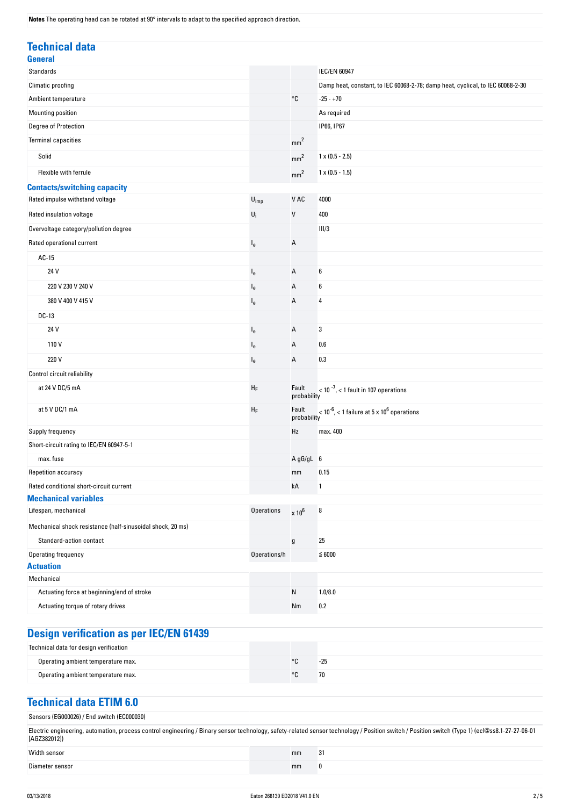**Notes** The operating head can be rotated at 90° intervals to adapt to the specified approach direction.

| <b>Technical data</b>                                      |                   |                      |                                                                                |
|------------------------------------------------------------|-------------------|----------------------|--------------------------------------------------------------------------------|
| <b>General</b>                                             |                   |                      |                                                                                |
| <b>Standards</b>                                           |                   |                      | <b>IEC/EN 60947</b>                                                            |
| Climatic proofing                                          |                   |                      | Damp heat, constant, to IEC 60068-2-78; damp heat, cyclical, to IEC 60068-2-30 |
| Ambient temperature                                        |                   | °C                   | $-25 - +70$                                                                    |
| Mounting position                                          |                   |                      | As required                                                                    |
| Degree of Protection                                       |                   |                      | IP66, IP67                                                                     |
| <b>Terminal capacities</b>                                 |                   | mm <sup>2</sup>      |                                                                                |
| Solid                                                      |                   | mm <sup>2</sup>      | $1 \times (0.5 - 2.5)$                                                         |
| Flexible with ferrule                                      |                   | mm <sup>2</sup>      | $1 \times (0.5 - 1.5)$                                                         |
| <b>Contacts/switching capacity</b>                         |                   |                      |                                                                                |
| Rated impulse withstand voltage                            | $U_{imp}$         | V AC                 | 4000                                                                           |
| Rated insulation voltage                                   | $U_i$             | V                    | 400                                                                            |
| Overvoltage category/pollution degree                      |                   |                      | III/3                                                                          |
| Rated operational current                                  | l <sub>e</sub>    | Α                    |                                                                                |
| $AC-15$                                                    |                   |                      |                                                                                |
| 24 V                                                       | $l_{e}$           | А                    | 6                                                                              |
| 220 V 230 V 240 V                                          | $I_{e}$           | А                    | 6                                                                              |
| 380 V 400 V 415 V                                          | $I_{e}$           | А                    | 4                                                                              |
| DC-13                                                      |                   |                      |                                                                                |
| 24 V                                                       | $I_{e}$           | А                    | 3                                                                              |
| 110V                                                       | $I_{e}$           | А                    | 0.6                                                                            |
| 220 V                                                      |                   |                      | 0.3                                                                            |
|                                                            | $I_{e}$           | Α                    |                                                                                |
| Control circuit reliability                                |                   |                      |                                                                                |
| at 24 V DC/5 mA                                            | ${\sf H}_{\sf F}$ | Fault<br>probability | $<$ 10 $^{-7}$ , $<$ 1 fault in 107 operations                                 |
| at 5 V DC/1 mA                                             | ${\sf H}_{\sf F}$ | Fault<br>probability | $<$ 10 <sup>-6</sup> , < 1 failure at 5 x 10 <sup>6</sup> operations           |
| Supply frequency                                           |                   | Hz                   | max. 400                                                                       |
| Short-circuit rating to IEC/EN 60947-5-1                   |                   |                      |                                                                                |
| max. fuse                                                  |                   | A gG/gL 6            |                                                                                |
| Repetition accuracy                                        |                   | mm                   | 0.15                                                                           |
| Rated conditional short-circuit current                    |                   | kA                   | $\mathbf{1}$                                                                   |
| <b>Mechanical variables</b>                                |                   |                      |                                                                                |
| Lifespan, mechanical                                       | <b>Operations</b> | $\times 10^6$        | 8                                                                              |
| Mechanical shock resistance (half-sinusoidal shock, 20 ms) |                   |                      |                                                                                |
| Standard-action contact                                    |                   | g                    | 25                                                                             |
| Operating frequency                                        | Operations/h      |                      | $≤ 6000$                                                                       |
| <b>Actuation</b>                                           |                   |                      |                                                                                |
| Mechanical                                                 |                   |                      |                                                                                |
| Actuating force at beginning/end of stroke                 |                   | N                    | 1.0/8.0                                                                        |
| Actuating torque of rotary drives                          |                   | Nm                   | 0.2                                                                            |

# **Design verification as per IEC/EN 61439**

| Technical data for design verification |         |       |
|----------------------------------------|---------|-------|
| Operating ambient temperature max.     | $\circ$ | $-25$ |
| Operating ambient temperature max.     | $\circ$ | 70    |

### **Technical data ETIM 6.0**

| Sensors (EG000026) / End switch (EC000030)                                                                                                                                                                     |    |    |
|----------------------------------------------------------------------------------------------------------------------------------------------------------------------------------------------------------------|----|----|
| Electric engineering, automation, process control engineering / Binary sensor technology, safety-related sensor technology / Position switch / Position switch (Type 1) (ecl@ss8.1-27-27-06-01<br>[AGZ382012]) |    |    |
| Width sensor                                                                                                                                                                                                   | mm | 31 |
| Diameter sensor                                                                                                                                                                                                | mm |    |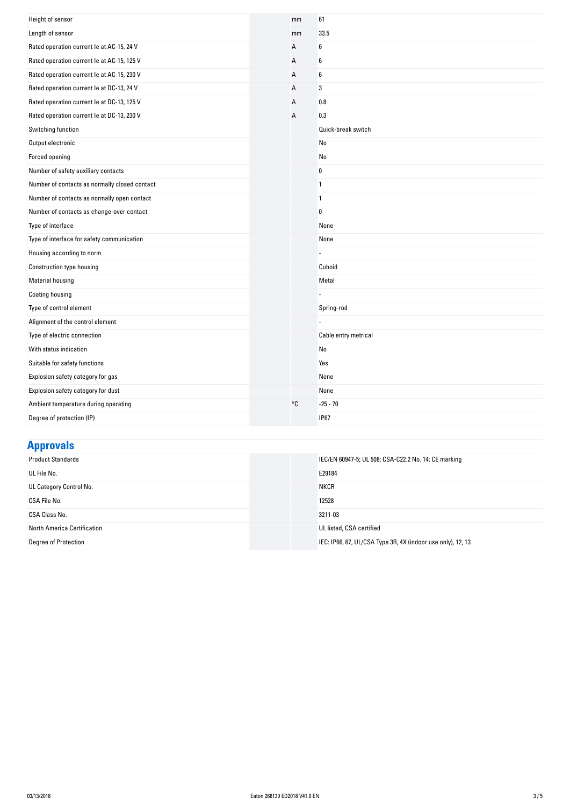| Height of sensor                              | mm | 61                   |
|-----------------------------------------------|----|----------------------|
| Length of sensor                              | mm | 33.5                 |
| Rated operation current le at AC-15, 24 V     | А  | 6                    |
| Rated operation current le at AC-15, 125 V    | А  | 6                    |
| Rated operation current le at AC-15, 230 V    | A  | 6                    |
| Rated operation current le at DC-13, 24 V     | А  | 3                    |
| Rated operation current le at DC-13, 125 V    | А  | 0.8                  |
| Rated operation current le at DC-13, 230 V    | A  | 0.3                  |
| Switching function                            |    | Quick-break switch   |
| Output electronic                             |    | No                   |
| Forced opening                                |    | No                   |
| Number of safety auxiliary contacts           |    | $\bf{0}$             |
| Number of contacts as normally closed contact |    | $\mathbf{1}$         |
| Number of contacts as normally open contact   |    | $\mathbf{1}$         |
| Number of contacts as change-over contact     |    | $\bf{0}$             |
| Type of interface                             |    | None                 |
| Type of interface for safety communication    |    | None                 |
| Housing according to norm                     |    |                      |
| Construction type housing                     |    | Cuboid               |
| <b>Material housing</b>                       |    | Metal                |
| Coating housing                               |    |                      |
| Type of control element                       |    | Spring-rod           |
| Alignment of the control element              |    |                      |
| Type of electric connection                   |    | Cable entry metrical |
| With status indication                        |    | No                   |
| Suitable for safety functions                 |    | Yes                  |
| Explosion safety category for gas             |    | None                 |
| Explosion safety category for dust            |    | None                 |
| Ambient temperature during operating          | °C | $-25 - 70$           |
| Degree of protection (IP)                     |    | <b>IP67</b>          |

## **Approvals**

| <b>Product Standards</b>    | IEC/EN 60947-5; UL 508; CSA-C22.2 No. 14; CE marking        |
|-----------------------------|-------------------------------------------------------------|
| UL File No.                 | E29184                                                      |
| UL Category Control No.     | <b>NKCR</b>                                                 |
| CSA File No.                | 12528                                                       |
| CSA Class No.               | 3211-03                                                     |
| North America Certification | UL listed, CSA certified                                    |
| <b>Degree of Protection</b> | IEC: IP66, 67, UL/CSA Type 3R, 4X (indoor use only), 12, 13 |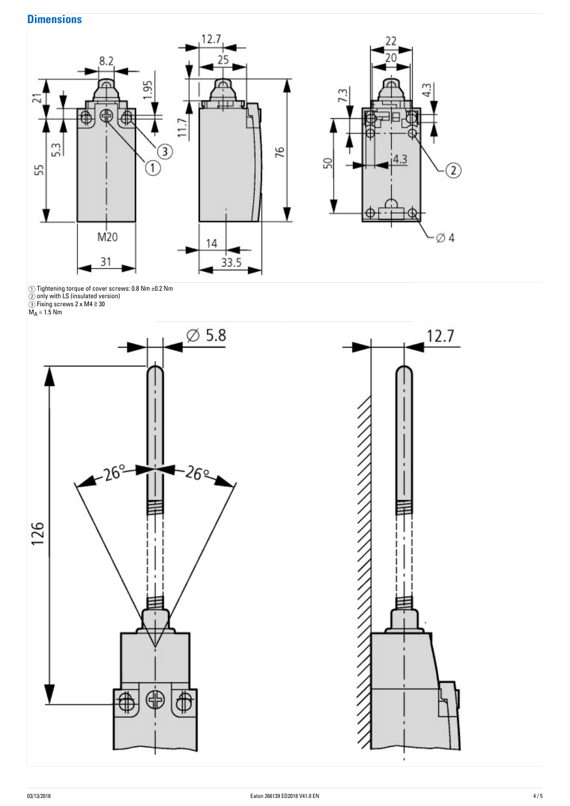### **Dimensions**



 $\circlearrowleft$  ) Tightening torque of cover screws: 0.8 Nm  $\pm$ 0.2 Nm  $\,$ 

② only with LS (insulated version)

③ Fixing screws 2 x M4 ≧ 30

M $_{\mathsf{A}}$  = 1.5 Nm